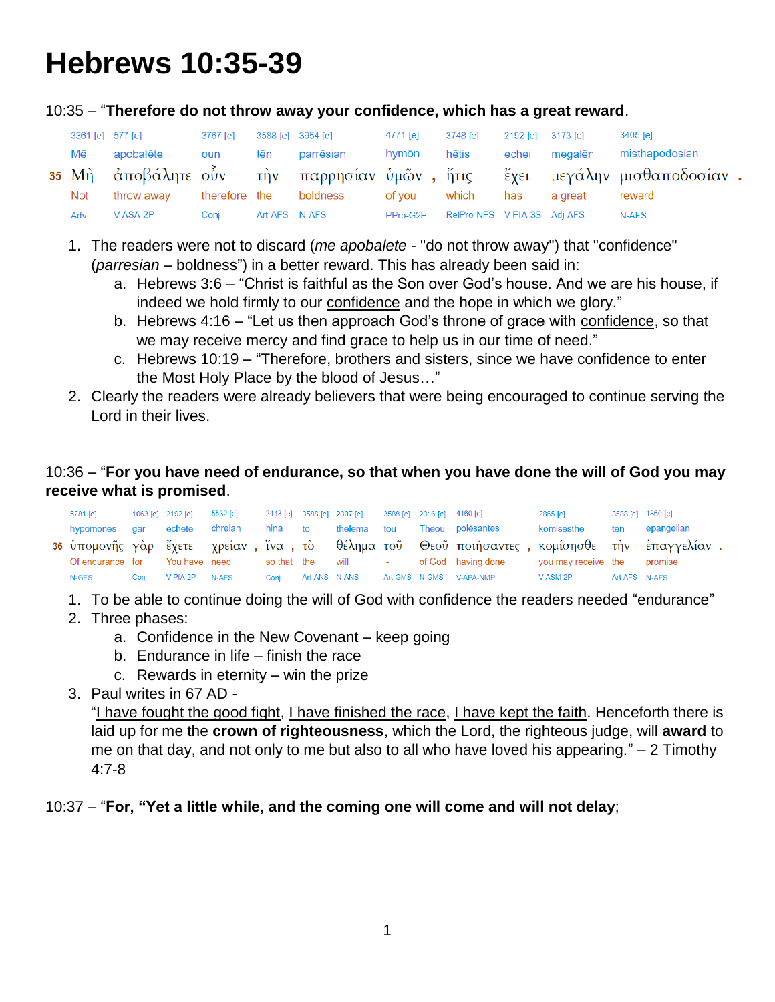# **Hebrews 10:35-39**

10:35 – "**Therefore do not throw away your confidence, which has a great reward**.

| 3361 [e] 577 [e] |            | 3767 [e] |               | 3588 [e] 3954 [e]      | 4771 [e]    | 3748 [e]                    | 2192 [e] 3173 [e] |               | 3405 [e]                                                                 |  |
|------------------|------------|----------|---------------|------------------------|-------------|-----------------------------|-------------------|---------------|--------------------------------------------------------------------------|--|
| Mē               | apobalēte  | oun      | tēn           | parrēsian              | hymōn hētis |                             |                   | echei megalēn | misthapodosian                                                           |  |
|                  |            |          |               |                        |             |                             |                   |               | 35 Μη αποβάλητε οὖν την παρρησίαν ύμῶν, ἥτις έχει μεγάλην μισθαποδοσίαν. |  |
| Not              | throw away |          |               | therefore the boldness | of vou      | which                       | has               | a great       | reward                                                                   |  |
| Adv              | V-ASA-2P   | Conj     | Art-AFS N-AFS |                        | PPro-G2P    | RelPro-NFS V-PIA-3S Adj-AFS |                   |               | N-AFS                                                                    |  |

- 1. The readers were not to discard (*me apobalete* "do not throw away") that "confidence" (*parresian* – boldness") in a better reward. This has already been said in:
	- a. Hebrews 3:6 "Christ is faithful as the Son over God's house. And we are his house, if indeed we hold firmly to our confidence and the hope in which we glory."
	- b. Hebrews 4:16 "Let us then approach God's throne of grace with confidence, so that we may receive mercy and find grace to help us in our time of need."
	- c. Hebrews 10:19 "Therefore, brothers and sisters, since we have confidence to enter the Most Holy Place by the blood of Jesus…"
- 2. Clearly the readers were already believers that were being encouraged to continue serving the Lord in their lives.

## 10:36 – "**For you have need of endurance, so that when you have done the will of God you may receive what is promised**.

| 5281 [e]         |      | 1063 [e] 2192 [e] | 5532 [e] 2443 [e] 3588 [e] 2307 [e] 3588 [e] 2316 [e] 4160 [e] |      |                     |  |                                                                                                 | 2865 [e]                    |               | 3588 [e] 1860 [e] |
|------------------|------|-------------------|----------------------------------------------------------------|------|---------------------|--|-------------------------------------------------------------------------------------------------|-----------------------------|---------------|-------------------|
| hypomones gar    |      | echete            | chreian                                                        |      | hina to thelēma tou |  | Theou poiēsantes                                                                                | komisēsthe                  | tēn           | epangelian        |
|                  |      |                   |                                                                |      |                     |  | 36 ύπομονῆς γὰρ ἔχετε γρείαν , ἵνα , τὸ θέλημα τοῦ Θεοῦ ποιήσαντες , κομίσησθε τὴν ἐπαγγελίαν . |                             |               |                   |
| Of endurance for |      |                   |                                                                |      |                     |  | You have need so that the will the sof God having done                                          | you may receive the promise |               |                   |
| N-GFS            | Coni | V-PIA-2P          | N-AFS                                                          | Coni |                     |  | Art-ANS N-ANS Art-GMS N-GMS V-APA-NMP                                                           | V-ASM-2P                    | Art-AFS N-AFS |                   |

- 1. To be able to continue doing the will of God with confidence the readers needed "endurance"
- 2. Three phases:
	- a. Confidence in the New Covenant keep going
	- b. Endurance in life finish the race
	- c. Rewards in eternity win the prize
- 3. Paul writes in 67 AD -

"I have fought the good fight, I have finished the race, I have kept the faith. Henceforth there is laid up for me the **crown of righteousness**, which the Lord, the righteous judge, will **award** to me on that day, and not only to me but also to all who have loved his appearing." – 2 Timothy 4:7-8

## 10:37 – "**For, "Yet a little while, and the coming one will come and will not delay**;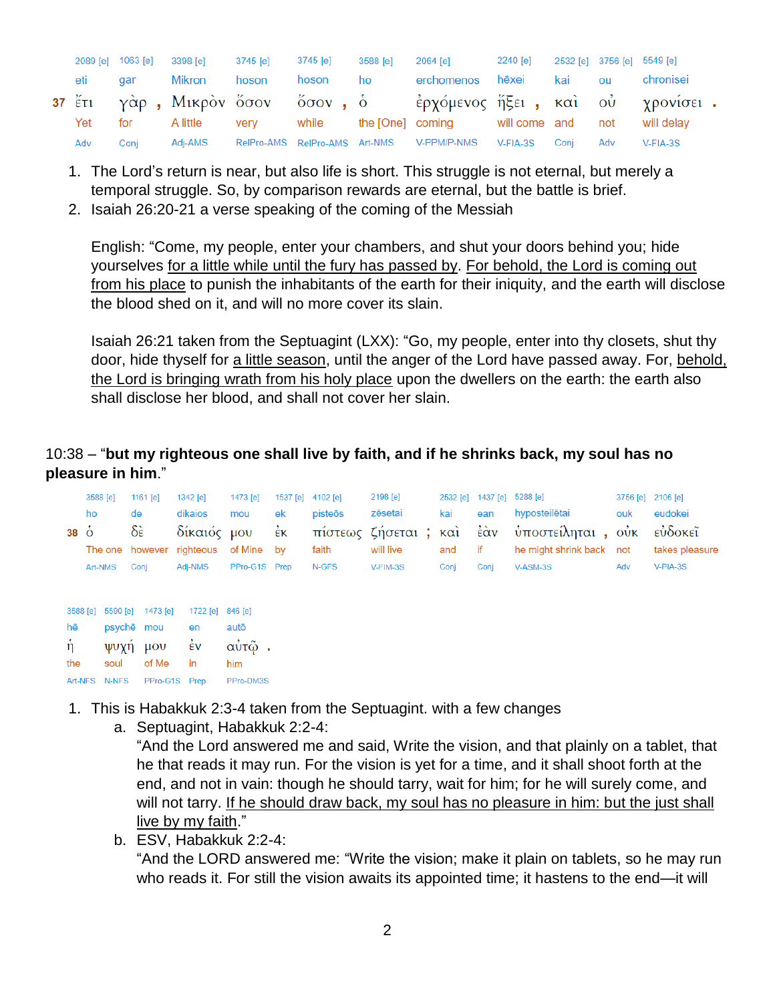|     |            | 2089 [e] 1063 [e] 3398 [e] 3745 [e] 3745 [e] |       |          | 3588 [e] | 2064 [e] 2240 [e] 2532 [e] 3756 [e] 5549 [e]                         |  |     |           |
|-----|------------|----------------------------------------------|-------|----------|----------|----------------------------------------------------------------------|--|-----|-----------|
| eti | <b>gar</b> | Mikron                                       | hoson | hoson ho |          | erchomenos hēxei kai ou                                              |  |     | chronisei |
|     |            |                                              |       |          |          | 37 έτι γάρ, Μικρόν ὄσον ὄσον, ὁ έρχόμενος ήξει, και ού χρονίσει.     |  |     |           |
| Yet |            |                                              |       |          |          | for Alittle very while the [One] coming will come and not will delay |  |     |           |
| Adv | Conj       |                                              |       |          |          | Adj-AMS RelPro-AMS RelPro-AMS Art-NMS V-PPM/P-NMS V-FIA-3S Conj      |  | Adv | V-FIA-3S  |

- 1. The Lord's return is near, but also life is short. This struggle is not eternal, but merely a temporal struggle. So, by comparison rewards are eternal, but the battle is brief.
- 2. Isaiah 26:20-21 a verse speaking of the coming of the Messiah

English: "Come, my people, enter your chambers, and shut your doors behind you; hide yourselves for a little while until the fury has passed by. For behold, the Lord is coming out from his place to punish the inhabitants of the earth for their iniquity, and the earth will disclose the blood shed on it, and will no more cover its slain.

Isaiah 26:21 taken from the Septuagint (LXX): "Go, my people, enter into thy closets, shut thy door, hide thyself for a little season, until the anger of the Lord have passed away. For, behold, the Lord is bringing wrath from his holy place upon the dwellers on the earth: the earth also shall disclose her blood, and shall not cover her slain.

#### 10:38 – "**but my righteous one shall live by faith, and if he shrinks back, my soul has no pleasure in him**."

|                | 3588 [e] |       | 1161 $[e]$              | 1342 [e]                                            | 1473 [e]       | 1537 [e]                       | 4102 [e]         | 2198 [e]                                 |                   | 2532 [e] 1437 [e] 5288 [e] |                                                            | 3756 [e] 2106 [e] |                                      |
|----------------|----------|-------|-------------------------|-----------------------------------------------------|----------------|--------------------------------|------------------|------------------------------------------|-------------------|----------------------------|------------------------------------------------------------|-------------------|--------------------------------------|
| $38\,\text{o}$ | ho       |       | de<br>$\delta \epsilon$ | dikaios<br>δίκαιός μου<br>The one however righteous | mou<br>of Mine | ek<br>$\dot{\epsilon}$ K<br>bv | pisteōs<br>faith | zēsetai<br>πίστεως ζήσεται;<br>will live | kai<br>καὶ<br>and | ean<br>έὰν<br>if           | hyposteilētai<br>υποστείληται, ούκ<br>he might shrink back | ouk<br>not        | eudokei<br>εὐδοκεῖ<br>takes pleasure |
|                | Art-NMS  |       | Conj                    | Adj-NMS                                             | PPro-G1S Prep  |                                | N-GFS            | V-FIM-3S                                 | Conj              | Conj                       | V-ASM-3S                                                   | Adv               | V-PIA-3S                             |
|                |          |       |                         |                                                     |                |                                |                  |                                          |                   |                            |                                                            |                   |                                      |
| 3588 [e]       |          |       | 5590 [e] 1473 [e]       | 1722 [e] 846 [e]                                    |                |                                |                  |                                          |                   |                            |                                                            |                   |                                      |
| hē             |          |       | psyche mou              | en                                                  | autō           |                                |                  |                                          |                   |                            |                                                            |                   |                                      |
| $\hat{\eta}$   |          |       | ψυχη μου                | $\dot{\epsilon}$ v                                  | αὐτῷ.          |                                |                  |                                          |                   |                            |                                                            |                   |                                      |
| the            |          | soul  | of Me                   | in                                                  | him            |                                |                  |                                          |                   |                            |                                                            |                   |                                      |
| Art-NFS        |          | N-NFS |                         | PPro-G1S Prep                                       | PPro-DM3S      |                                |                  |                                          |                   |                            |                                                            |                   |                                      |

- 1. This is Habakkuk 2:3-4 taken from the Septuagint. with a few changes
	- a. Septuagint, Habakkuk 2:2-4:

"And the Lord answered me and said, Write the vision, and that plainly on a tablet, that he that reads it may run. For the vision is yet for a time, and it shall shoot forth at the end, and not in vain: though he should tarry, wait for him; for he will surely come, and will not tarry. If he should draw back, my soul has no pleasure in him: but the just shall live by my faith."

b. ESV, Habakkuk 2:2-4:

"And the LORD answered me: "Write the vision; make it plain on tablets, so he may run who reads it. For still the vision awaits its appointed time; it hastens to the end—it will